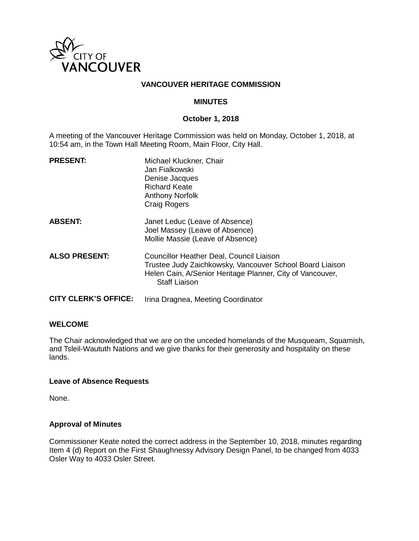

## **VANCOUVER HERITAGE COMMISSION**

#### **MINUTES**

#### **October 1, 2018**

A meeting of the Vancouver Heritage Commission was held on Monday, October 1, 2018, at 10:54 am, in the Town Hall Meeting Room, Main Floor, City Hall.

| <b>PRESENT:</b>             | Michael Kluckner, Chair<br>Jan Fialkowski<br>Denise Jacques<br><b>Richard Keate</b><br><b>Anthony Norfolk</b><br><b>Craig Rogers</b>                                                      |
|-----------------------------|-------------------------------------------------------------------------------------------------------------------------------------------------------------------------------------------|
| <b>ABSENT:</b>              | Janet Leduc (Leave of Absence)<br>Joel Massey (Leave of Absence)<br>Mollie Massie (Leave of Absence)                                                                                      |
| <b>ALSO PRESENT:</b>        | Councillor Heather Deal, Council Liaison<br>Trustee Judy Zaichkowsky, Vancouver School Board Liaison<br>Helen Cain, A/Senior Heritage Planner, City of Vancouver,<br><b>Staff Liaison</b> |
| <b>CITY CLERK'S OFFICE:</b> | Irina Dragnea, Meeting Coordinator                                                                                                                                                        |

#### **WELCOME**

The Chair acknowledged that we are on the unceded homelands of the Musqueam, Squamish, and Tsleil-Waututh Nations and we give thanks for their generosity and hospitality on these lands.

#### **Leave of Absence Requests**

None.

#### **Approval of Minutes**

Commissioner Keate noted the correct address in the September 10, 2018, minutes regarding Item 4 (d) Report on the First Shaughnessy Advisory Design Panel, to be changed from 4033 Osler Way to 4033 Osler Street.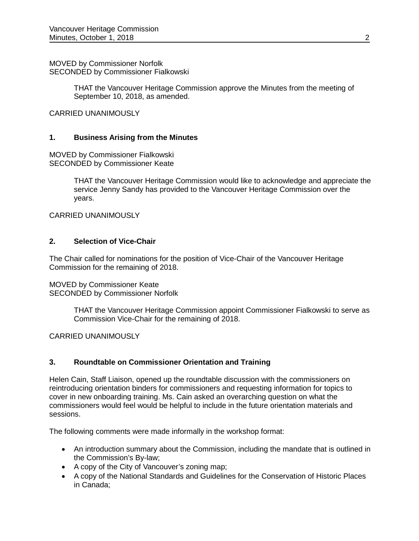MOVED by Commissioner Norfolk SECONDED by Commissioner Fialkowski

> THAT the Vancouver Heritage Commission approve the Minutes from the meeting of September 10, 2018, as amended.

CARRIED UNANIMOUSLY

### **1. Business Arising from the Minutes**

MOVED by Commissioner Fialkowski SECONDED by Commissioner Keate

> THAT the Vancouver Heritage Commission would like to acknowledge and appreciate the service Jenny Sandy has provided to the Vancouver Heritage Commission over the years.

CARRIED UNANIMOUSLY

### **2. Selection of Vice-Chair**

The Chair called for nominations for the position of Vice-Chair of the Vancouver Heritage Commission for the remaining of 2018.

MOVED by Commissioner Keate SECONDED by Commissioner Norfolk

> THAT the Vancouver Heritage Commission appoint Commissioner Fialkowski to serve as Commission Vice-Chair for the remaining of 2018.

CARRIED UNANIMOUSLY

## **3. Roundtable on Commissioner Orientation and Training**

Helen Cain, Staff Liaison, opened up the roundtable discussion with the commissioners on reintroducing orientation binders for commissioners and requesting information for topics to cover in new onboarding training. Ms. Cain asked an overarching question on what the commissioners would feel would be helpful to include in the future orientation materials and sessions.

The following comments were made informally in the workshop format:

- An introduction summary about the Commission, including the mandate that is outlined in the Commission's By-law;
- A copy of the City of Vancouver's zoning map;
- A copy of the National Standards and Guidelines for the Conservation of Historic Places in Canada;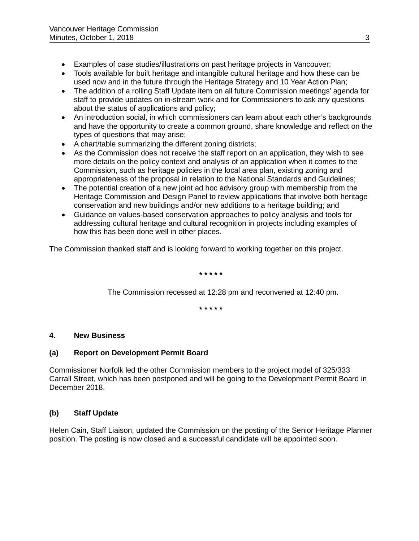- Examples of case studies/illustrations on past heritage projects in Vancouver;
- Tools available for built heritage and intangible cultural heritage and how these can be used now and in the future through the Heritage Strategy and 10 Year Action Plan;
- The addition of a rolling Staff Update item on all future Commission meetings' agenda for staff to provide updates on in-stream work and for Commissioners to ask any questions about the status of applications and policy;
- An introduction social, in which commissioners can learn about each other's backgrounds and have the opportunity to create a common ground, share knowledge and reflect on the types of questions that may arise;
- A chart/table summarizing the different zoning districts;
- As the Commission does not receive the staff report on an application, they wish to see more details on the policy context and analysis of an application when it comes to the Commission, such as heritage policies in the local area plan, existing zoning and appropriateness of the proposal in relation to the National Standards and Guidelines;
- The potential creation of a new joint ad hoc advisory group with membership from the Heritage Commission and Design Panel to review applications that involve both heritage conservation and new buildings and/or new additions to a heritage building; and
- Guidance on values-based conservation approaches to policy analysis and tools for addressing cultural heritage and cultural recognition in projects including examples of how this has been done well in other places.

The Commission thanked staff and is looking forward to working together on this project.

**\* \* \* \* \***

The Commission recessed at 12:28 pm and reconvened at 12:40 pm.

**\* \* \* \* \***

## **4. New Business**

## **(a) Report on Development Permit Board**

Commissioner Norfolk led the other Commission members to the project model of 325/333 Carrall Street, which has been postponed and will be going to the Development Permit Board in December 2018.

## **(b) Staff Update**

Helen Cain, Staff Liaison, updated the Commission on the posting of the Senior Heritage Planner position. The posting is now closed and a successful candidate will be appointed soon.